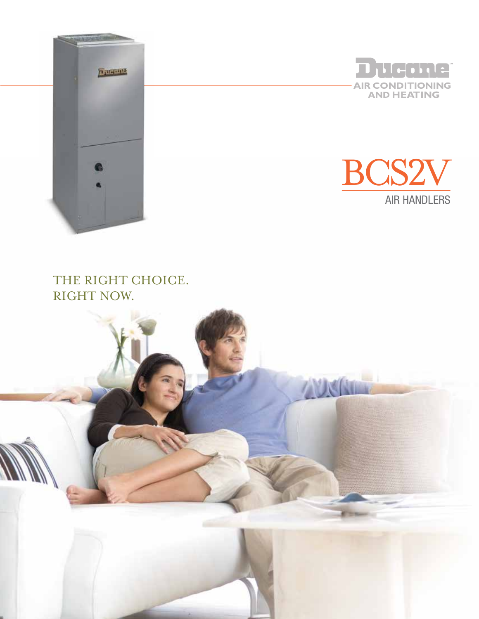





### THE RIGHT CHOICE. RIGHT NOW.

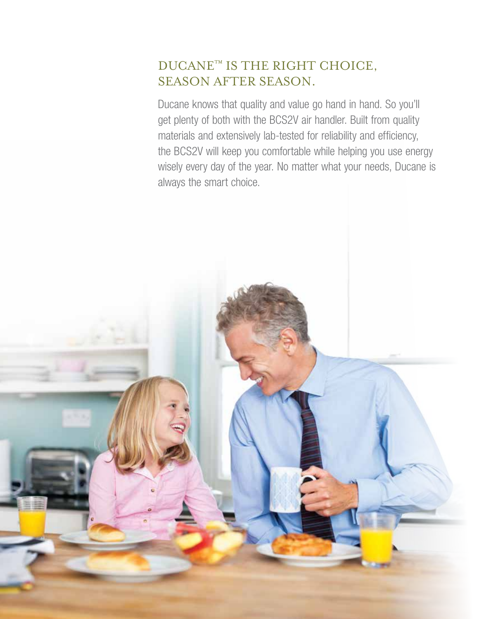# DUCANE™ IS THE RIGHT CHOICE, season after season.

Ducane knows that quality and value go hand in hand. So you'll get plenty of both with the BCS2V air handler. Built from quality materials and extensively lab-tested for reliability and efficiency, the BCS2V will keep you comfortable while helping you use energy wisely every day of the year. No matter what your needs, Ducane is always the smart choice.

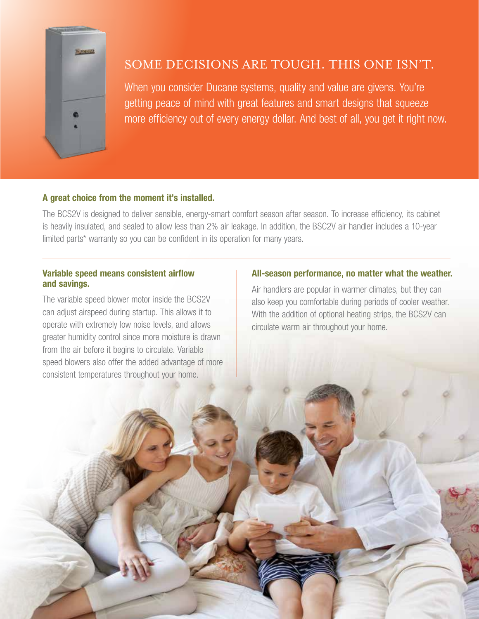

## Some decisions are tough. This one isn't.

When you consider Ducane systems, quality and value are givens. You're getting peace of mind with great features and smart designs that squeeze more efficiency out of every energy dollar. And best of all, you get it right now.

### A great choice from the moment it's installed.

The BCS2V is designed to deliver sensible, energy-smart comfort season after season. To increase efficiency, its cabinet is heavily insulated, and sealed to allow less than 2% air leakage. In addition, the BSC2V air handler includes a 10-year limited parts<sup>\*</sup> warranty so you can be confident in its operation for many years.

#### Variable speed means consistent airflow and savings.

The variable speed blower motor inside the BCS2V can adjust airspeed during startup. This allows it to operate with extremely low noise levels, and allows greater humidity control since more moisture is drawn from the air before it begins to circulate. Variable speed blowers also offer the added advantage of more consistent temperatures throughout your home.

### All-season performance, no matter what the weather.

Air handlers are popular in warmer climates, but they can also keep you comfortable during periods of cooler weather. With the addition of optional heating strips, the BCS2V can circulate warm air throughout your home.